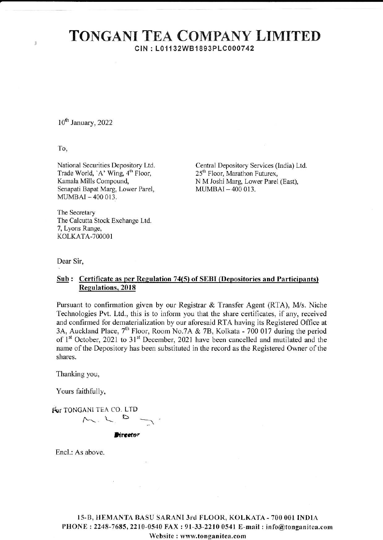## **TONGANI TEA COMPANY LIMITED** CIN: L01132WB1893PLC000742

10<sup>th</sup> January, 2022

To,

ä

National Securities Depository Ltd. Trade World, 'A' Wing, 4<sup>th</sup> Floor, Kamala Mills Compound, Senapati Bapat Marg, Lower Parel, MUMBAI-400013.

Central Depository Services (India) Ltd. 25<sup>th</sup> Floor, Marathon Futurex, N M Joshi Marg, Lower Parel (East), MUMBAI-400 013.

The Secretary The Calcutta Stock Exchange Ltd. 7, Lyons Range, KOLKATA-700001

Dear Sir,

## Sub: Certificate as per Regulation 74(5) of SEBI (Depositories and Participants) **Regulations, 2018**

Pursuant to confirmation given by our Registrar & Transfer Agent (RTA), M/s. Niche Technologies Pvt. Ltd., this is to inform you that the share certificates, if any, received and confirmed for dematerialization by our aforesaid RTA having its Registered Office at 3A, Auckland Place,  $7^{th}$  Floor, Room No.7A & 7B, Kolkata - 700 017 during the period of  $1^{st}$  October, 2021 to 31<sup>st</sup> December, 2 name of the Depository has been substituted in the record as the Registered Owner of the shares.

Thanking you,

Yours faithfully,

For TONGANI TEA CO. LTD  $M_{\sim}$ 

**Birrector** 

Encl.: As above.

15-B, HEMANTA BASU SARANI 3rd FLOOR, KOLKATA - 700 001 INDIA PHONE: 2248-7685, 2210-0540 FAX: 91-33-2210 0541 E-mail: info@tonganitea.com Website: www.tonganitea.com